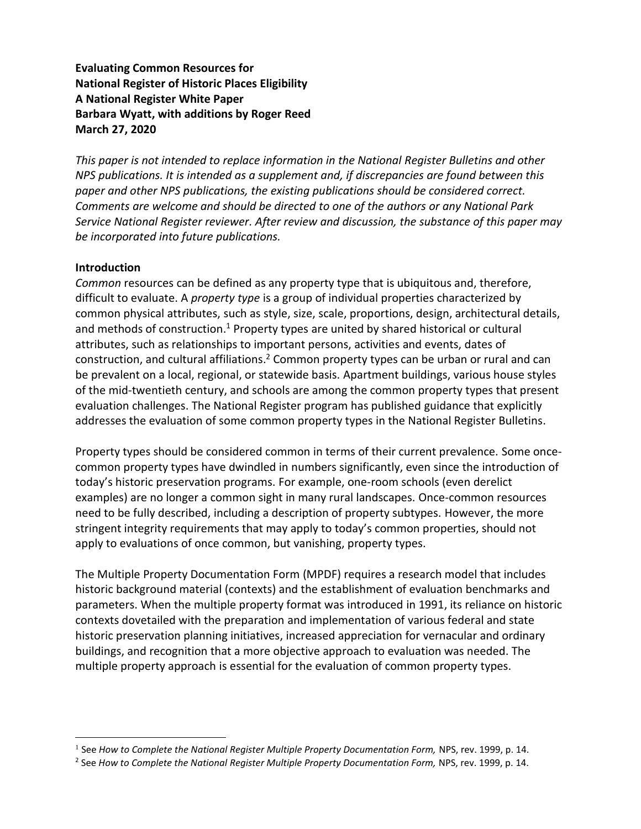**Evaluating Common Resources for National Register of Historic Places Eligibility A National Register White Paper Barbara Wyatt, with additions by Roger Reed March 27, 2020** 

*This paper is not intended to replace information in the National Register Bulletins and other NPS publications. It is intended as a supplement and, if discrepancies are found between this paper and other NPS publications, the existing publications should be considered correct. Comments are welcome and should be directed to one of the authors or any National Park Service National Register reviewer. After review and discussion, the substance of this paper may be incorporated into future publications.*

#### **Introduction**

*Common* resources can be defined as any property type that is ubiquitous and, therefore, difficult to evaluate. A *property type* is a group of individual properties characterized by common physical attributes, such as style, size, scale, proportions, design, architectural details, and methods of construction.<sup>1</sup> Property types are united by shared historical or cultural attributes, such as relationships to important persons, activities and events, dates of construction, and cultural affiliations.<sup>2</sup> Common property types can be urban or rural and can be prevalent on a local, regional, or statewide basis. Apartment buildings, various house styles of the mid-twentieth century, and schools are among the common property types that present evaluation challenges. The National Register program has published guidance that explicitly addresses the evaluation of some common property types in the National Register Bulletins.

Property types should be considered common in terms of their current prevalence. Some oncecommon property types have dwindled in numbers significantly, even since the introduction of today's historic preservation programs. For example, one-room schools (even derelict examples) are no longer a common sight in many rural landscapes. Once-common resources need to be fully described, including a description of property subtypes. However, the more stringent integrity requirements that may apply to today's common properties, should not apply to evaluations of once common, but vanishing, property types.

The Multiple Property Documentation Form (MPDF) requires a research model that includes historic background material (contexts) and the establishment of evaluation benchmarks and parameters. When the multiple property format was introduced in 1991, its reliance on historic contexts dovetailed with the preparation and implementation of various federal and state historic preservation planning initiatives, increased appreciation for vernacular and ordinary buildings, and recognition that a more objective approach to evaluation was needed. The multiple property approach is essential for the evaluation of common property types.

<sup>1</sup> See *How to Complete the National Register Multiple Property Documentation Form,* NPS, rev. 1999, p. 14.

<sup>2</sup> See *How to Complete the National Register Multiple Property Documentation Form,* NPS, rev. 1999, p. 14.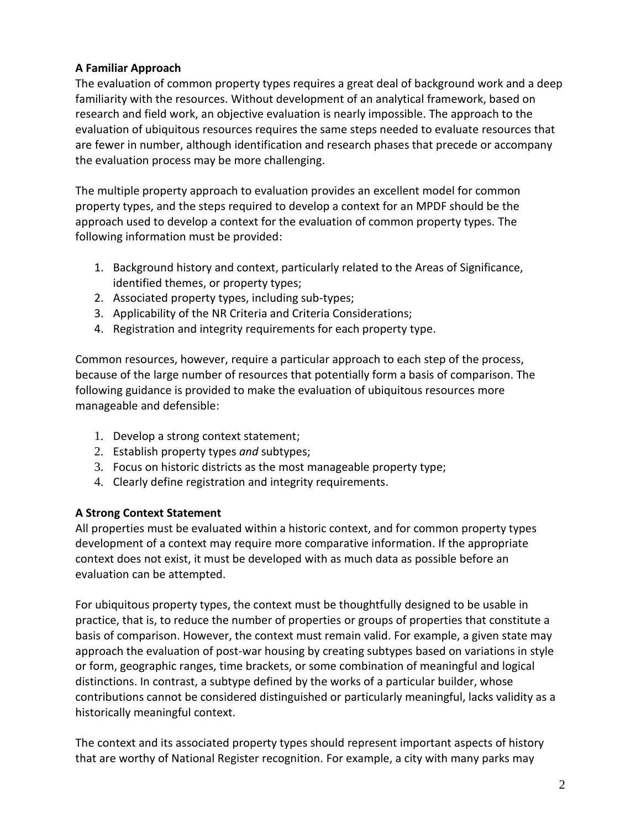# **A Familiar Approach**

The evaluation of common property types requires a great deal of background work and a deep familiarity with the resources. Without development of an analytical framework, based on research and field work, an objective evaluation is nearly impossible. The approach to the evaluation of ubiquitous resources requires the same steps needed to evaluate resources that are fewer in number, although identification and research phases that precede or accompany the evaluation process may be more challenging.

The multiple property approach to evaluation provides an excellent model for common property types, and the steps required to develop a context for an MPDF should be the approach used to develop a context for the evaluation of common property types. The following information must be provided:

- 1. Background history and context, particularly related to the Areas of Significance, identified themes, or property types;
- 2. Associated property types, including sub-types;
- 3. Applicability of the NR Criteria and Criteria Considerations;
- 4. Registration and integrity requirements for each property type.

Common resources, however, require a particular approach to each step of the process, because of the large number of resources that potentially form a basis of comparison. The following guidance is provided to make the evaluation of ubiquitous resources more manageable and defensible:

- 1. Develop a strong context statement;
- 2. Establish property types *and* subtypes;
- 3. Focus on historic districts as the most manageable property type;
- 4. Clearly define registration and integrity requirements.

## **A Strong Context Statement**

All properties must be evaluated within a historic context, and for common property types development of a context may require more comparative information. If the appropriate context does not exist, it must be developed with as much data as possible before an evaluation can be attempted.

For ubiquitous property types, the context must be thoughtfully designed to be usable in practice, that is, to reduce the number of properties or groups of properties that constitute a basis of comparison. However, the context must remain valid. For example, a given state may approach the evaluation of post-war housing by creating subtypes based on variations in style or form, geographic ranges, time brackets, or some combination of meaningful and logical distinctions. In contrast, a subtype defined by the works of a particular builder, whose contributions cannot be considered distinguished or particularly meaningful, lacks validity as a historically meaningful context.

The context and its associated property types should represent important aspects of history that are worthy of National Register recognition. For example, a city with many parks may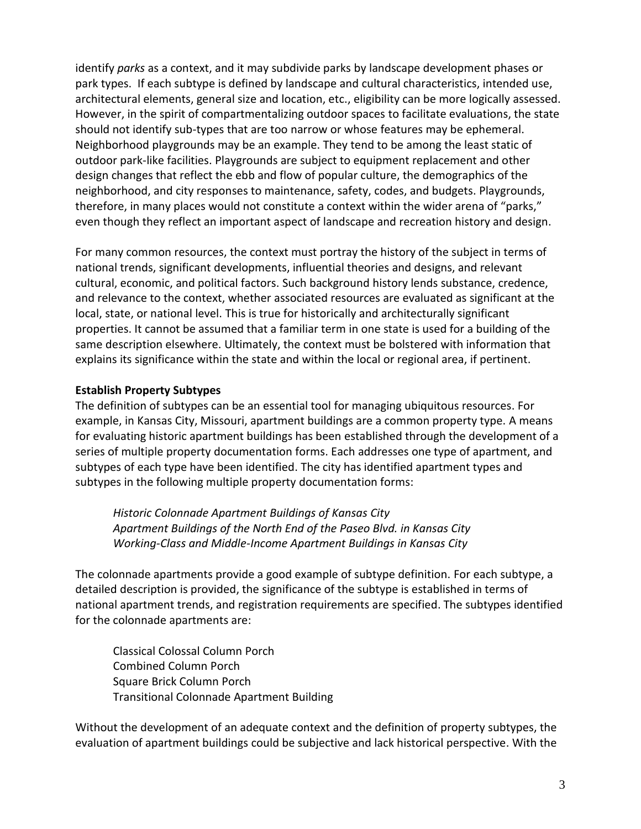identify *parks* as a context, and it may subdivide parks by landscape development phases or park types. If each subtype is defined by landscape and cultural characteristics, intended use, architectural elements, general size and location, etc., eligibility can be more logically assessed. However, in the spirit of compartmentalizing outdoor spaces to facilitate evaluations, the state should not identify sub-types that are too narrow or whose features may be ephemeral. Neighborhood playgrounds may be an example. They tend to be among the least static of outdoor park-like facilities. Playgrounds are subject to equipment replacement and other design changes that reflect the ebb and flow of popular culture, the demographics of the neighborhood, and city responses to maintenance, safety, codes, and budgets. Playgrounds, therefore, in many places would not constitute a context within the wider arena of "parks," even though they reflect an important aspect of landscape and recreation history and design.

For many common resources, the context must portray the history of the subject in terms of national trends, significant developments, influential theories and designs, and relevant cultural, economic, and political factors. Such background history lends substance, credence, and relevance to the context, whether associated resources are evaluated as significant at the local, state, or national level. This is true for historically and architecturally significant properties. It cannot be assumed that a familiar term in one state is used for a building of the same description elsewhere. Ultimately, the context must be bolstered with information that explains its significance within the state and within the local or regional area, if pertinent.

## **Establish Property Subtypes**

The definition of subtypes can be an essential tool for managing ubiquitous resources. For example, in Kansas City, Missouri, apartment buildings are a common property type. A means for evaluating historic apartment buildings has been established through the development of a series of multiple property documentation forms. Each addresses one type of apartment, and subtypes of each type have been identified. The city has identified apartment types and subtypes in the following multiple property documentation forms:

*Historic Colonnade Apartment Buildings of Kansas City Apartment Buildings of the North End of the Paseo Blvd. in Kansas City Working-Class and Middle-Income Apartment Buildings in Kansas City*

The colonnade apartments provide a good example of subtype definition. For each subtype, a detailed description is provided, the significance of the subtype is established in terms of national apartment trends, and registration requirements are specified. The subtypes identified for the colonnade apartments are:

Classical Colossal Column Porch Combined Column Porch Square Brick Column Porch Transitional Colonnade Apartment Building

Without the development of an adequate context and the definition of property subtypes, the evaluation of apartment buildings could be subjective and lack historical perspective. With the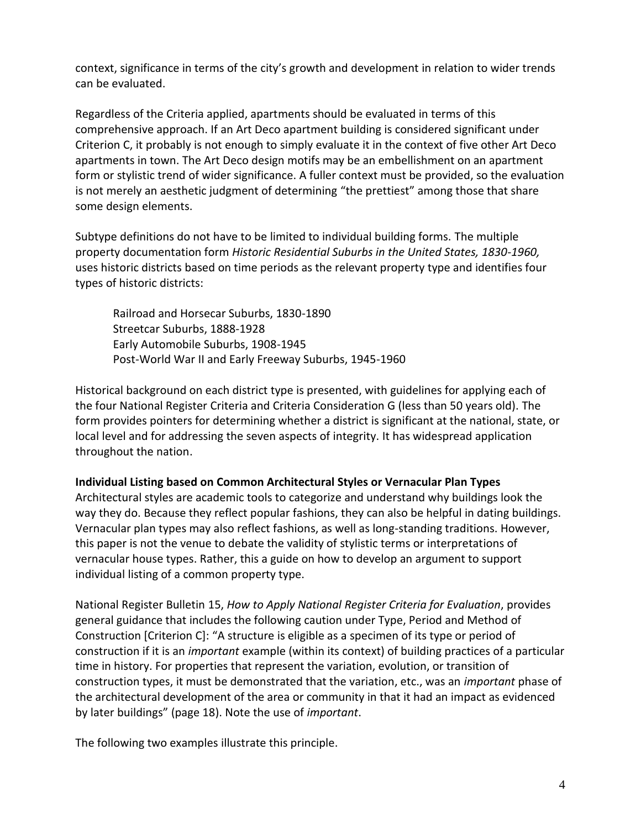context, significance in terms of the city's growth and development in relation to wider trends can be evaluated.

Regardless of the Criteria applied, apartments should be evaluated in terms of this comprehensive approach. If an Art Deco apartment building is considered significant under Criterion C, it probably is not enough to simply evaluate it in the context of five other Art Deco apartments in town. The Art Deco design motifs may be an embellishment on an apartment form or stylistic trend of wider significance. A fuller context must be provided, so the evaluation is not merely an aesthetic judgment of determining "the prettiest" among those that share some design elements.

Subtype definitions do not have to be limited to individual building forms. The multiple property documentation form *Historic Residential Suburbs in the United States, 1830-1960,* uses historic districts based on time periods as the relevant property type and identifies four types of historic districts:

Railroad and Horsecar Suburbs, 1830-1890 Streetcar Suburbs, 1888-1928 Early Automobile Suburbs, 1908-1945 Post-World War II and Early Freeway Suburbs, 1945-1960

Historical background on each district type is presented, with guidelines for applying each of the four National Register Criteria and Criteria Consideration G (less than 50 years old). The form provides pointers for determining whether a district is significant at the national, state, or local level and for addressing the seven aspects of integrity. It has widespread application throughout the nation.

#### **Individual Listing based on Common Architectural Styles or Vernacular Plan Types**

Architectural styles are academic tools to categorize and understand why buildings look the way they do. Because they reflect popular fashions, they can also be helpful in dating buildings. Vernacular plan types may also reflect fashions, as well as long-standing traditions. However, this paper is not the venue to debate the validity of stylistic terms or interpretations of vernacular house types. Rather, this a guide on how to develop an argument to support individual listing of a common property type.

National Register Bulletin 15, *How to Apply National Register Criteria for Evaluation*, provides general guidance that includes the following caution under Type, Period and Method of Construction [Criterion C]: "A structure is eligible as a specimen of its type or period of construction if it is an *important* example (within its context) of building practices of a particular time in history. For properties that represent the variation, evolution, or transition of construction types, it must be demonstrated that the variation, etc., was an *important* phase of the architectural development of the area or community in that it had an impact as evidenced by later buildings" (page 18). Note the use of *important*.

The following two examples illustrate this principle.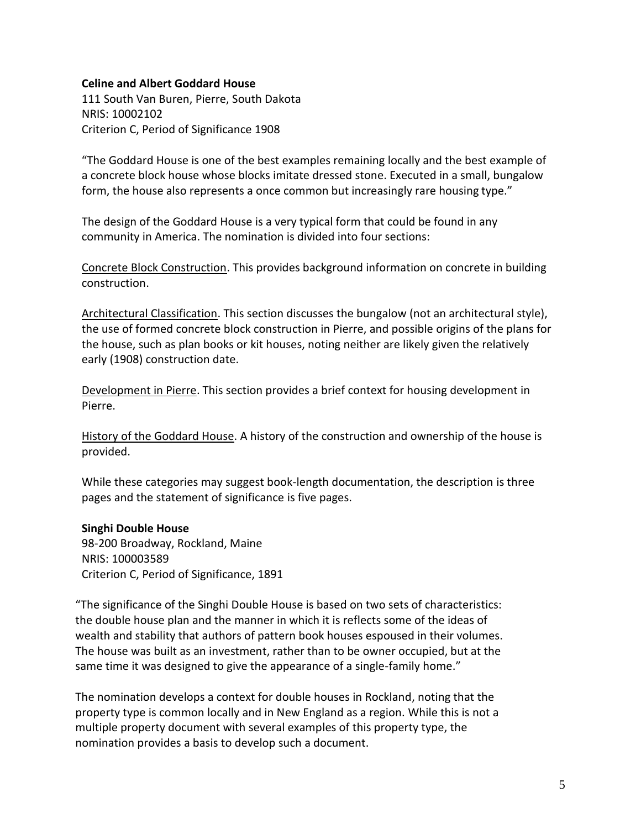#### **Celine and Albert Goddard House**

111 South Van Buren, Pierre, South Dakota NRIS: 10002102 Criterion C, Period of Significance 1908

"The Goddard House is one of the best examples remaining locally and the best example of a concrete block house whose blocks imitate dressed stone. Executed in a small, bungalow form, the house also represents a once common but increasingly rare housing type."

The design of the Goddard House is a very typical form that could be found in any community in America. The nomination is divided into four sections:

Concrete Block Construction. This provides background information on concrete in building construction.

Architectural Classification. This section discusses the bungalow (not an architectural style), the use of formed concrete block construction in Pierre, and possible origins of the plans for the house, such as plan books or kit houses, noting neither are likely given the relatively early (1908) construction date.

Development in Pierre. This section provides a brief context for housing development in Pierre.

History of the Goddard House. A history of the construction and ownership of the house is provided.

While these categories may suggest book-length documentation, the description is three pages and the statement of significance is five pages.

#### **Singhi Double House**

98-200 Broadway, Rockland, Maine NRIS: 100003589 Criterion C, Period of Significance, 1891

"The significance of the Singhi Double House is based on two sets of characteristics: the double house plan and the manner in which it is reflects some of the ideas of wealth and stability that authors of pattern book houses espoused in their volumes. The house was built as an investment, rather than to be owner occupied, but at the same time it was designed to give the appearance of a single-family home."

The nomination develops a context for double houses in Rockland, noting that the property type is common locally and in New England as a region. While this is not a multiple property document with several examples of this property type, the nomination provides a basis to develop such a document.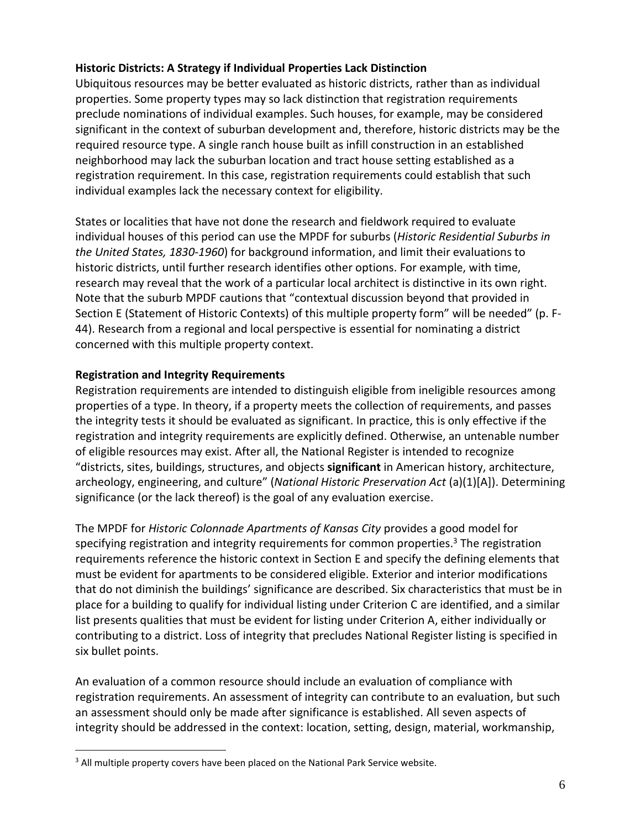## **Historic Districts: A Strategy if Individual Properties Lack Distinction**

Ubiquitous resources may be better evaluated as historic districts, rather than as individual properties. Some property types may so lack distinction that registration requirements preclude nominations of individual examples. Such houses, for example, may be considered significant in the context of suburban development and, therefore, historic districts may be the required resource type. A single ranch house built as infill construction in an established neighborhood may lack the suburban location and tract house setting established as a registration requirement. In this case, registration requirements could establish that such individual examples lack the necessary context for eligibility.

States or localities that have not done the research and fieldwork required to evaluate individual houses of this period can use the MPDF for suburbs (*Historic Residential Suburbs in the United States, 1830-1960*) for background information, and limit their evaluations to historic districts, until further research identifies other options. For example, with time, research may reveal that the work of a particular local architect is distinctive in its own right. Note that the suburb MPDF cautions that "contextual discussion beyond that provided in Section E (Statement of Historic Contexts) of this multiple property form" will be needed" (p. F-44). Research from a regional and local perspective is essential for nominating a district concerned with this multiple property context.

#### **Registration and Integrity Requirements**

Registration requirements are intended to distinguish eligible from ineligible resources among properties of a type. In theory, if a property meets the collection of requirements, and passes the integrity tests it should be evaluated as significant. In practice, this is only effective if the registration and integrity requirements are explicitly defined. Otherwise, an untenable number of eligible resources may exist. After all, the National Register is intended to recognize "districts, sites, buildings, structures, and objects **significant** in American history, architecture, archeology, engineering, and culture" (*National Historic Preservation Act* (a)(1)[A]). Determining significance (or the lack thereof) is the goal of any evaluation exercise.

The MPDF for *Historic Colonnade Apartments of Kansas City* provides a good model for specifying registration and integrity requirements for common properties. <sup>3</sup> The registration requirements reference the historic context in Section E and specify the defining elements that must be evident for apartments to be considered eligible. Exterior and interior modifications that do not diminish the buildings' significance are described. Six characteristics that must be in place for a building to qualify for individual listing under Criterion C are identified, and a similar list presents qualities that must be evident for listing under Criterion A, either individually or contributing to a district. Loss of integrity that precludes National Register listing is specified in six bullet points.

An evaluation of a common resource should include an evaluation of compliance with registration requirements. An assessment of integrity can contribute to an evaluation, but such an assessment should only be made after significance is established. All seven aspects of integrity should be addressed in the context: location, setting, design, material, workmanship,

<sup>&</sup>lt;sup>3</sup> All multiple property covers have been placed on the National Park Service website.